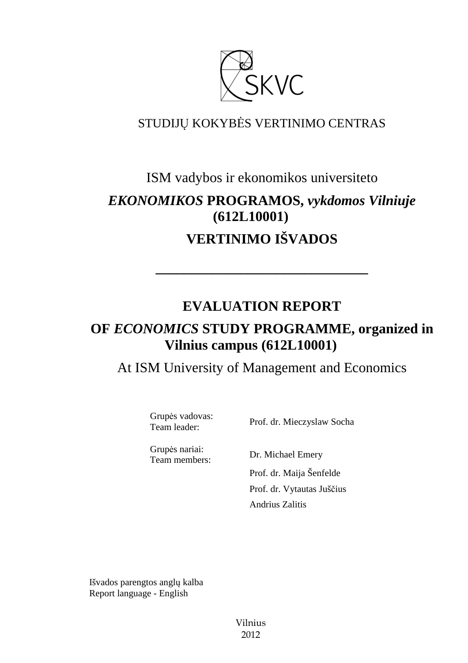

## STUDIJŲ KOKYBĖS VERTINIMO CENTRAS

# ISM vadybos ir ekonomikos universiteto *EKONOMIKOS* **PROGRAMOS,** *vykdomos Vilniuje*  **(612L10001) VERTINIMO IŠVADOS**

## **EVALUATION REPORT**

**––––––––––––––––––––––––––––––** 

## **OF** *ECONOMICS* **STUDY PROGRAMME, organized in Vilnius campus (612L10001)**

At ISM University of Management and Economics

Grupės vadovas:

Team leader: Prof. dr. Mieczyslaw Socha

Grupės nariai:

Team members: Dr. Michael Emery Prof. dr. Maija Šenfelde Prof. dr. Vytautas Juščius Andrius Zalitis

Išvados parengtos anglų kalba Report language - English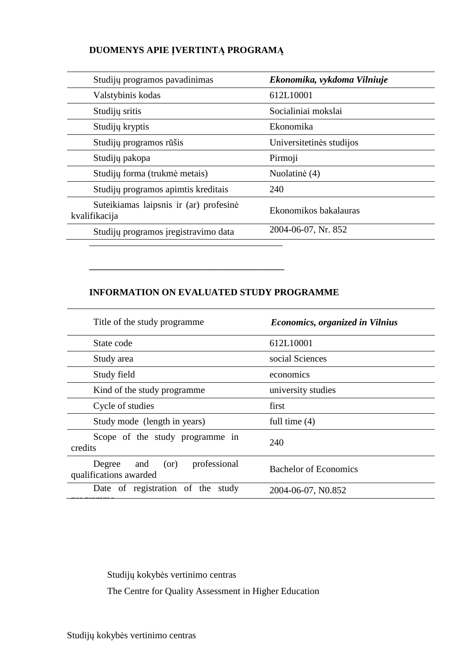## **DUOMENYS APIE ĮVERTINTĄ PROGRAMĄ**

| Studijų programos pavadinimas                           | Ekonomika, vykdoma Vilniuje |
|---------------------------------------------------------|-----------------------------|
| Valstybinis kodas                                       | 612L10001                   |
| Studijų sritis                                          | Socialiniai mokslai         |
| Studijų kryptis                                         | Ekonomika                   |
| Studijų programos rūšis                                 | Universitetinės studijos    |
| Studijų pakopa                                          | Pirmoji                     |
| Studijų forma (trukmė metais)                           | Nuolatinė (4)               |
| Studijų programos apimtis kreditais                     | 240                         |
| Suteikiamas laipsnis ir (ar) profesinė<br>kvalifikacija | Ekonomikos bakalauras       |
| Studijų programos įregistravimo data                    | 2004-06-07, Nr. 852         |
|                                                         |                             |

### **INFORMATION ON EVALUATED STUDY PROGRAMME**

–––––––––––––––––––––––––––––––

| Title of the study programme.                                   | <b>Economics, organized in Vilnius</b> |
|-----------------------------------------------------------------|----------------------------------------|
| State code                                                      | 612L10001                              |
| Study area                                                      | social Sciences                        |
| Study field                                                     | economics                              |
| Kind of the study programme.                                    | university studies                     |
| Cycle of studies                                                | first                                  |
| Study mode (length in years)                                    | full time $(4)$                        |
| Scope of the study programme in<br>credits                      | 240                                    |
| professional<br>and<br>Degree<br>(or)<br>qualifications awarded | <b>Bachelor of Economics</b>           |
| Date of registration of the study                               | 2004-06-07, N0.852                     |
|                                                                 |                                        |

Studijų kokybės vertinimo centras The Centre for Quality Assessment in Higher Education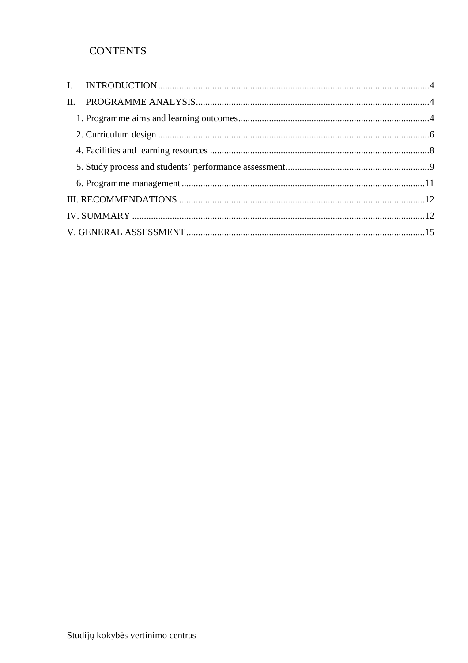## **CONTENTS**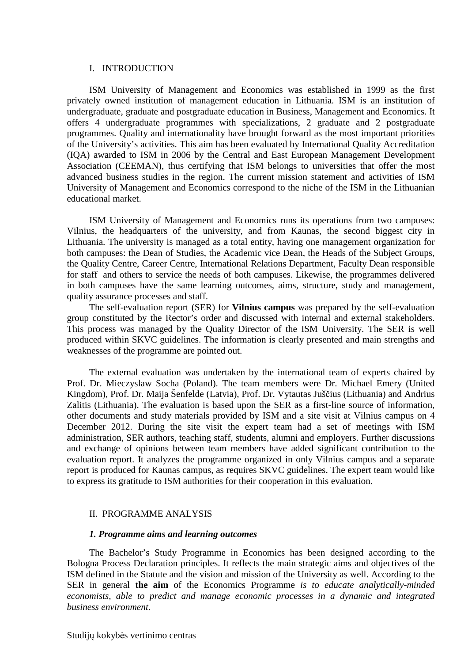#### I. INTRODUCTION

ISM University of Management and Economics was established in 1999 as the first privately owned institution of management education in Lithuania. ISM is an institution of undergraduate, graduate and postgraduate education in Business, Management and Economics. It offers 4 undergraduate programmes with specializations, 2 graduate and 2 postgraduate programmes. Quality and internationality have brought forward as the most important priorities of the University's activities. This aim has been evaluated by International Quality Accreditation (IQA) awarded to ISM in 2006 by the Central and East European Management Development Association (CEEMAN), thus certifying that ISM belongs to universities that offer the most advanced business studies in the region. The current mission statement and activities of ISM University of Management and Economics correspond to the niche of the ISM in the Lithuanian educational market.

ISM University of Management and Economics runs its operations from two campuses: Vilnius, the headquarters of the university, and from Kaunas, the second biggest city in Lithuania. The university is managed as a total entity, having one management organization for both campuses: the Dean of Studies, the Academic vice Dean, the Heads of the Subject Groups, the Quality Centre, Career Centre, International Relations Department, Faculty Dean responsible for staff and others to service the needs of both campuses. Likewise, the programmes delivered in both campuses have the same learning outcomes, aims, structure, study and management, quality assurance processes and staff.

The self-evaluation report (SER) for **Vilnius campus** was prepared by the self-evaluation group constituted by the Rector's order and discussed with internal and external stakeholders. This process was managed by the Quality Director of the ISM University. The SER is well produced within SKVC guidelines. The information is clearly presented and main strengths and weaknesses of the programme are pointed out.

The external evaluation was undertaken by the international team of experts chaired by Prof. Dr. Mieczyslaw Socha (Poland). The team members were Dr. Michael Emery (United Kingdom), Prof. Dr. Maija Šenfelde (Latvia), Prof. Dr. Vytautas Juščius (Lithuania) and Andrius Zalitis (Lithuania). The evaluation is based upon the SER as a first-line source of information, other documents and study materials provided by ISM and a site visit at Vilnius campus on 4 December 2012. During the site visit the expert team had a set of meetings with ISM administration, SER authors, teaching staff, students, alumni and employers. Further discussions and exchange of opinions between team members have added significant contribution to the evaluation report. It analyzes the programme organized in only Vilnius campus and a separate report is produced for Kaunas campus, as requires SKVC guidelines. The expert team would like to express its gratitude to ISM authorities for their cooperation in this evaluation.

#### II. PROGRAMME ANALYSIS

#### *1. Programme aims and learning outcomes*

The Bachelor's Study Programme in Economics has been designed according to the Bologna Process Declaration principles. It reflects the main strategic aims and objectives of the ISM defined in the Statute and the vision and mission of the University as well. According to the SER in general **the aim** of the Economics Programme *is to educate analytically-minded economists, able to predict and manage economic processes in a dynamic and integrated business environment.*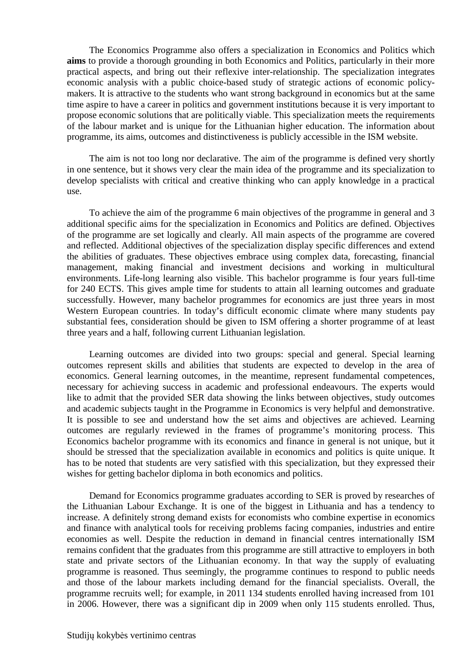The Economics Programme also offers a specialization in Economics and Politics which **aims** to provide a thorough grounding in both Economics and Politics, particularly in their more practical aspects, and bring out their reflexive inter-relationship. The specialization integrates economic analysis with a public choice-based study of strategic actions of economic policymakers. It is attractive to the students who want strong background in economics but at the same time aspire to have a career in politics and government institutions because it is very important to propose economic solutions that are politically viable. This specialization meets the requirements of the labour market and is unique for the Lithuanian higher education. The information about programme, its aims, outcomes and distinctiveness is publicly accessible in the ISM website.

The aim is not too long nor declarative. The aim of the programme is defined very shortly in one sentence, but it shows very clear the main idea of the programme and its specialization to develop specialists with critical and creative thinking who can apply knowledge in a practical use.

To achieve the aim of the programme 6 main objectives of the programme in general and 3 additional specific aims for the specialization in Economics and Politics are defined. Objectives of the programme are set logically and clearly. All main aspects of the programme are covered and reflected. Additional objectives of the specialization display specific differences and extend the abilities of graduates. These objectives embrace using complex data, forecasting, financial management, making financial and investment decisions and working in multicultural environments. Life-long learning also visible. This bachelor programme is four years full-time for 240 ECTS. This gives ample time for students to attain all learning outcomes and graduate successfully. However, many bachelor programmes for economics are just three years in most Western European countries. In today's difficult economic climate where many students pay substantial fees, consideration should be given to ISM offering a shorter programme of at least three years and a half, following current Lithuanian legislation.

Learning outcomes are divided into two groups: special and general. Special learning outcomes represent skills and abilities that students are expected to develop in the area of economics. General learning outcomes, in the meantime, represent fundamental competences, necessary for achieving success in academic and professional endeavours. The experts would like to admit that the provided SER data showing the links between objectives, study outcomes and academic subjects taught in the Programme in Economics is very helpful and demonstrative. It is possible to see and understand how the set aims and objectives are achieved. Learning outcomes are regularly reviewed in the frames of programme's monitoring process. This Economics bachelor programme with its economics and finance in general is not unique, but it should be stressed that the specialization available in economics and politics is quite unique. It has to be noted that students are very satisfied with this specialization, but they expressed their wishes for getting bachelor diploma in both economics and politics.

Demand for Economics programme graduates according to SER is proved by researches of the Lithuanian Labour Exchange. It is one of the biggest in Lithuania and has a tendency to increase. A definitely strong demand exists for economists who combine expertise in economics and finance with analytical tools for receiving problems facing companies, industries and entire economies as well. Despite the reduction in demand in financial centres internationally ISM remains confident that the graduates from this programme are still attractive to employers in both state and private sectors of the Lithuanian economy. In that way the supply of evaluating programme is reasoned. Thus seemingly, the programme continues to respond to public needs and those of the labour markets including demand for the financial specialists. Overall, the programme recruits well; for example, in 2011 134 students enrolled having increased from 101 in 2006. However, there was a significant dip in 2009 when only 115 students enrolled. Thus,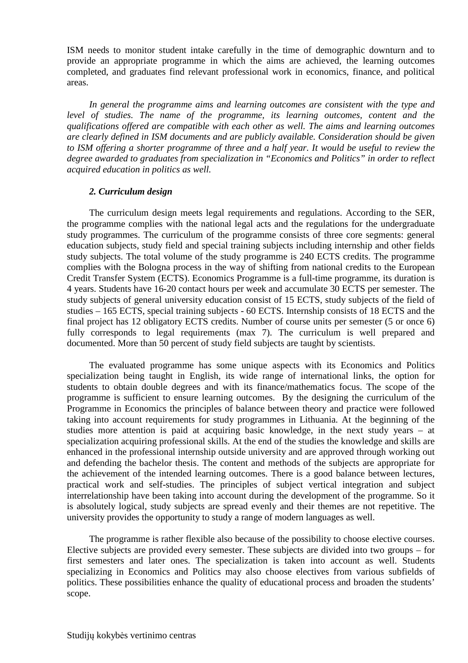ISM needs to monitor student intake carefully in the time of demographic downturn and to provide an appropriate programme in which the aims are achieved, the learning outcomes completed, and graduates find relevant professional work in economics, finance, and political areas.

*In general the programme aims and learning outcomes are consistent with the type and level of studies. The name of the programme, its learning outcomes, content and the qualifications offered are compatible with each other as well. The aims and learning outcomes are clearly defined in ISM documents and are publicly available. Consideration should be given to ISM offering a shorter programme of three and a half year. It would be useful to review the degree awarded to graduates from specialization in "Economics and Politics" in order to reflect acquired education in politics as well.* 

#### *2. Curriculum design*

The curriculum design meets legal requirements and regulations. According to the SER, the programme complies with the national legal acts and the regulations for the undergraduate study programmes. The curriculum of the programme consists of three core segments: general education subjects, study field and special training subjects including internship and other fields study subjects. The total volume of the study programme is 240 ECTS credits. The programme complies with the Bologna process in the way of shifting from national credits to the European Credit Transfer System (ECTS). Economics Programme is a full-time programme, its duration is 4 years. Students have 16-20 contact hours per week and accumulate 30 ECTS per semester. The study subjects of general university education consist of 15 ECTS, study subjects of the field of studies – 165 ECTS, special training subjects - 60 ECTS. Internship consists of 18 ECTS and the final project has 12 obligatory ECTS credits. Number of course units per semester (5 or once 6) fully corresponds to legal requirements (max 7). The curriculum is well prepared and documented. More than 50 percent of study field subjects are taught by scientists.

The evaluated programme has some unique aspects with its Economics and Politics specialization being taught in English, its wide range of international links, the option for students to obtain double degrees and with its finance/mathematics focus. The scope of the programme is sufficient to ensure learning outcomes. By the designing the curriculum of the Programme in Economics the principles of balance between theory and practice were followed taking into account requirements for study programmes in Lithuania. At the beginning of the studies more attention is paid at acquiring basic knowledge, in the next study years – at specialization acquiring professional skills. At the end of the studies the knowledge and skills are enhanced in the professional internship outside university and are approved through working out and defending the bachelor thesis. The content and methods of the subjects are appropriate for the achievement of the intended learning outcomes. There is a good balance between lectures, practical work and self-studies. The principles of subject vertical integration and subject interrelationship have been taking into account during the development of the programme. So it is absolutely logical, study subjects are spread evenly and their themes are not repetitive. The university provides the opportunity to study a range of modern languages as well.

The programme is rather flexible also because of the possibility to choose elective courses. Elective subjects are provided every semester. These subjects are divided into two groups – for first semesters and later ones. The specialization is taken into account as well. Students specializing in Economics and Politics may also choose electives from various subfields of politics. These possibilities enhance the quality of educational process and broaden the students' scope.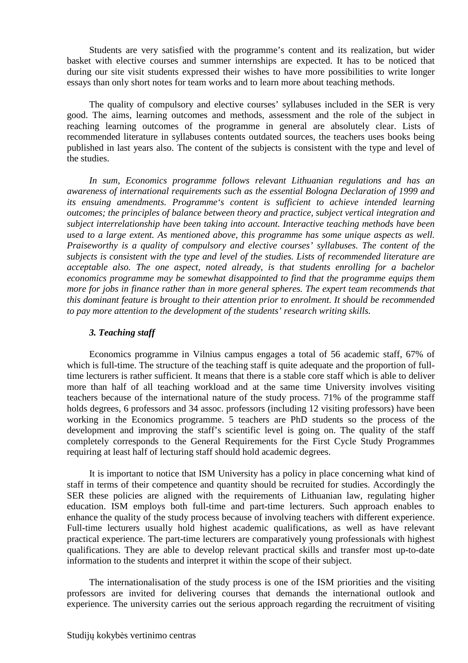Students are very satisfied with the programme's content and its realization, but wider basket with elective courses and summer internships are expected. It has to be noticed that during our site visit students expressed their wishes to have more possibilities to write longer essays than only short notes for team works and to learn more about teaching methods.

The quality of compulsory and elective courses' syllabuses included in the SER is very good. The aims, learning outcomes and methods, assessment and the role of the subject in reaching learning outcomes of the programme in general are absolutely clear. Lists of recommended literature in syllabuses contents outdated sources, the teachers uses books being published in last years also. The content of the subjects is consistent with the type and level of the studies.

*In sum, Economics programme follows relevant Lithuanian regulations and has an awareness of international requirements such as the essential Bologna Declaration of 1999 and its ensuing amendments. Programme's content is sufficient to achieve intended learning outcomes; the principles of balance between theory and practice, subject vertical integration and subject interrelationship have been taking into account. Interactive teaching methods have been used to a large extent. As mentioned above, this programme has some unique aspects as well. Praiseworthy is a quality of compulsory and elective courses' syllabuses. The content of the subjects is consistent with the type and level of the studies. Lists of recommended literature are acceptable also. The one aspect, noted already, is that students enrolling for a bachelor economics programme may be somewhat disappointed to find that the programme equips them more for jobs in finance rather than in more general spheres. The expert team recommends that this dominant feature is brought to their attention prior to enrolment. It should be recommended to pay more attention to the development of the students' research writing skills.* 

#### *3. Teaching staff*

Economics programme in Vilnius campus engages a total of 56 academic staff, 67% of which is full-time. The structure of the teaching staff is quite adequate and the proportion of fulltime lecturers is rather sufficient. It means that there is a stable core staff which is able to deliver more than half of all teaching workload and at the same time University involves visiting teachers because of the international nature of the study process. 71% of the programme staff holds degrees, 6 professors and 34 assoc. professors (including 12 visiting professors) have been working in the Economics programme. 5 teachers are PhD students so the process of the development and improving the staff's scientific level is going on. The quality of the staff completely corresponds to the General Requirements for the First Cycle Study Programmes requiring at least half of lecturing staff should hold academic degrees.

It is important to notice that ISM University has a policy in place concerning what kind of staff in terms of their competence and quantity should be recruited for studies. Accordingly the SER these policies are aligned with the requirements of Lithuanian law, regulating higher education. ISM employs both full-time and part-time lecturers. Such approach enables to enhance the quality of the study process because of involving teachers with different experience. Full-time lecturers usually hold highest academic qualifications, as well as have relevant practical experience. The part-time lecturers are comparatively young professionals with highest qualifications. They are able to develop relevant practical skills and transfer most up-to-date information to the students and interpret it within the scope of their subject.

The internationalisation of the study process is one of the ISM priorities and the visiting professors are invited for delivering courses that demands the international outlook and experience. The university carries out the serious approach regarding the recruitment of visiting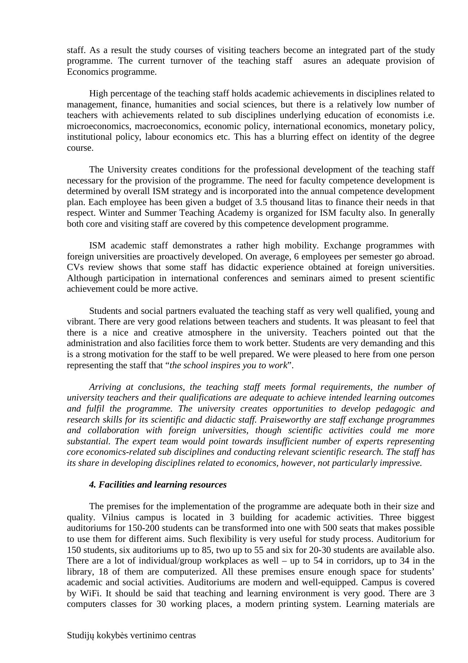staff. As a result the study courses of visiting teachers become an integrated part of the study programme. The current turnover of the teaching staff asures an adequate provision of Economics programme.

High percentage of the teaching staff holds academic achievements in disciplines related to management, finance, humanities and social sciences, but there is a relatively low number of teachers with achievements related to sub disciplines underlying education of economists i.e. microeconomics, macroeconomics, economic policy, international economics, monetary policy, institutional policy, labour economics etc. This has a blurring effect on identity of the degree course.

The University creates conditions for the professional development of the teaching staff necessary for the provision of the programme. The need for faculty competence development is determined by overall ISM strategy and is incorporated into the annual competence development plan. Each employee has been given a budget of 3.5 thousand litas to finance their needs in that respect. Winter and Summer Teaching Academy is organized for ISM faculty also. In generally both core and visiting staff are covered by this competence development programme.

ISM academic staff demonstrates a rather high mobility. Exchange programmes with foreign universities are proactively developed. On average, 6 employees per semester go abroad. CVs review shows that some staff has didactic experience obtained at foreign universities. Although participation in international conferences and seminars aimed to present scientific achievement could be more active.

Students and social partners evaluated the teaching staff as very well qualified, young and vibrant. There are very good relations between teachers and students. It was pleasant to feel that there is a nice and creative atmosphere in the university. Teachers pointed out that the administration and also facilities force them to work better. Students are very demanding and this is a strong motivation for the staff to be well prepared. We were pleased to here from one person representing the staff that "*the school inspires you to work*".

*Arriving at conclusions, the teaching staff meets formal requirements, the number of university teachers and their qualifications are adequate to achieve intended learning outcomes and fulfil the programme. The university creates opportunities to develop pedagogic and research skills for its scientific and didactic staff. Praiseworthy are staff exchange programmes and collaboration with foreign universities, though scientific activities could me more substantial. The expert team would point towards insufficient number of experts representing core economics-related sub disciplines and conducting relevant scientific research. The staff has its share in developing disciplines related to economics, however, not particularly impressive.* 

#### *4. Facilities and learning resources*

The premises for the implementation of the programme are adequate both in their size and quality. Vilnius campus is located in 3 building for academic activities. Three biggest auditoriums for 150-200 students can be transformed into one with 500 seats that makes possible to use them for different aims. Such flexibility is very useful for study process. Auditorium for 150 students, six auditoriums up to 85, two up to 55 and six for 20-30 students are available also. There are a lot of individual/group workplaces as well – up to 54 in corridors, up to 34 in the library, 18 of them are computerized. All these premises ensure enough space for students' academic and social activities. Auditoriums are modern and well-equipped. Campus is covered by WiFi. It should be said that teaching and learning environment is very good. There are 3 computers classes for 30 working places, a modern printing system. Learning materials are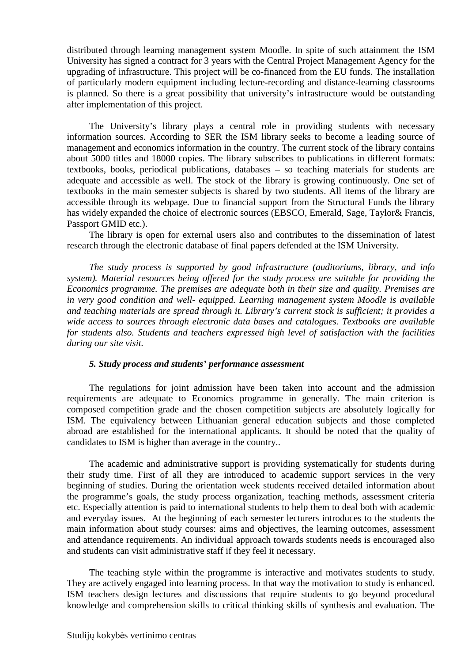distributed through learning management system Moodle. In spite of such attainment the ISM University has signed a contract for 3 years with the Central Project Management Agency for the upgrading of infrastructure. This project will be co-financed from the EU funds. The installation of particularly modern equipment including lecture-recording and distance-learning classrooms is planned. So there is a great possibility that university's infrastructure would be outstanding after implementation of this project.

The University's library plays a central role in providing students with necessary information sources. According to SER the ISM library seeks to become a leading source of management and economics information in the country. The current stock of the library contains about 5000 titles and 18000 copies. The library subscribes to publications in different formats: textbooks, books, periodical publications, databases – so teaching materials for students are adequate and accessible as well. The stock of the library is growing continuously. One set of textbooks in the main semester subjects is shared by two students. All items of the library are accessible through its webpage. Due to financial support from the Structural Funds the library has widely expanded the choice of electronic sources (EBSCO, Emerald, Sage, Taylor& Francis, Passport GMID etc.).

The library is open for external users also and contributes to the dissemination of latest research through the electronic database of final papers defended at the ISM University.

*The study process is supported by good infrastructure (auditoriums, library, and info system). Material resources being offered for the study process are suitable for providing the Economics programme. The premises are adequate both in their size and quality. Premises are in very good condition and well- equipped. Learning management system Moodle is available and teaching materials are spread through it. Library's current stock is sufficient; it provides a wide access to sources through electronic data bases and catalogues. Textbooks are available for students also. Students and teachers expressed high level of satisfaction with the facilities during our site visit.* 

#### *5. Study process and students' performance assessment*

The regulations for joint admission have been taken into account and the admission requirements are adequate to Economics programme in generally. The main criterion is composed competition grade and the chosen competition subjects are absolutely logically for ISM. The equivalency between Lithuanian general education subjects and those completed abroad are established for the international applicants. It should be noted that the quality of candidates to ISM is higher than average in the country..

The academic and administrative support is providing systematically for students during their study time. First of all they are introduced to academic support services in the very beginning of studies. During the orientation week students received detailed information about the programme's goals, the study process organization, teaching methods, assessment criteria etc. Especially attention is paid to international students to help them to deal both with academic and everyday issues. At the beginning of each semester lecturers introduces to the students the main information about study courses: aims and objectives, the learning outcomes, assessment and attendance requirements. An individual approach towards students needs is encouraged also and students can visit administrative staff if they feel it necessary.

The teaching style within the programme is interactive and motivates students to study. They are actively engaged into learning process. In that way the motivation to study is enhanced. ISM teachers design lectures and discussions that require students to go beyond procedural knowledge and comprehension skills to critical thinking skills of synthesis and evaluation. The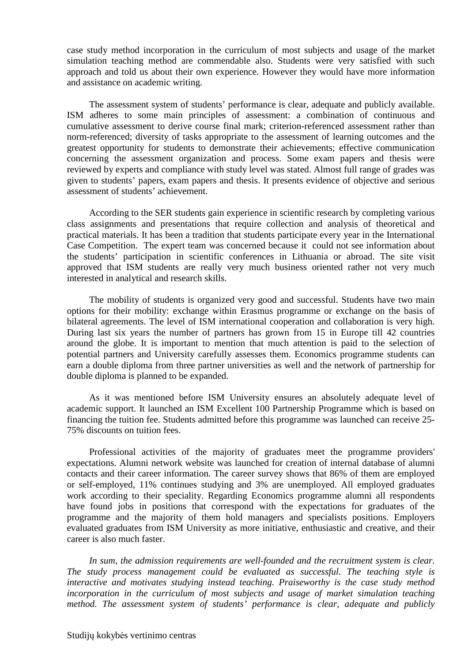case study method incorporation in the curriculum of most subjects and usage of the market simulation teaching method are commendable also. Students were very satisfied with such approach and told us about their own experience. However they would have more information and assistance on academic writing.

The assessment system of students' performance is clear, adequate and publicly available. ISM adheres to some main principles of assessment: a combination of continuous and cumulative assessment to derive course final mark; criterion-referenced assessment rather than norm-referenced; diversity of tasks appropriate to the assessment of learning outcomes and the greatest opportunity for students to demonstrate their achievements; effective communication concerning the assessment organization and process. Some exam papers and thesis were reviewed by experts and compliance with study level was stated. Almost full range of grades was given to students' papers, exam papers and thesis. It presents evidence of objective and serious assessment of students' achievement.

According to the SER students gain experience in scientific research by completing various class assignments and presentations that require collection and analysis of theoretical and practical materials. It has been a tradition that students participate every year in the International Case Competition. The expert team was concerned because it could not see information about the students' participation in scientific conferences in Lithuania or abroad. The site visit approved that ISM students are really very much business oriented rather not very much interested in analytical and research skills.

The mobility of students is organized very good and successful. Students have two main options for their mobility: exchange within Erasmus programme or exchange on the basis of bilateral agreements. The level of ISM international cooperation and collaboration is very high. During last six years the number of partners has grown from 15 in Europe till 42 countries around the globe. It is important to mention that much attention is paid to the selection of potential partners and University carefully assesses them. Economics programme students can earn a double diploma from three partner universities as well and the network of partnership for double diploma is planned to be expanded.

As it was mentioned before ISM University ensures an absolutely adequate level of academic support. It launched an ISM Excellent 100 Partnership Programme which is based on financing the tuition fee. Students admitted before this programme was launched can receive 25- 75% discounts on tuition fees.

Professional activities of the majority of graduates meet the programme providers' expectations. Alumni network website was launched for creation of internal database of alumni contacts and their career information. The career survey shows that 86% of them are employed or self-employed, 11% continues studying and 3% are unemployed. All employed graduates work according to their speciality. Regarding Economics programme alumni all respondents have found jobs in positions that correspond with the expectations for graduates of the programme and the majority of them hold managers and specialists positions. Employers evaluated graduates from ISM University as more initiative, enthusiastic and creative, and their career is also much faster.

*In sum, the admission requirements are well-founded and the recruitment system is clear. The study process management could be evaluated as successful. The teaching style is interactive and motivates studying instead teaching. Praiseworthy is the case study method incorporation in the curriculum of most subjects and usage of market simulation teaching method. The assessment system of students' performance is clear, adequate and publicly*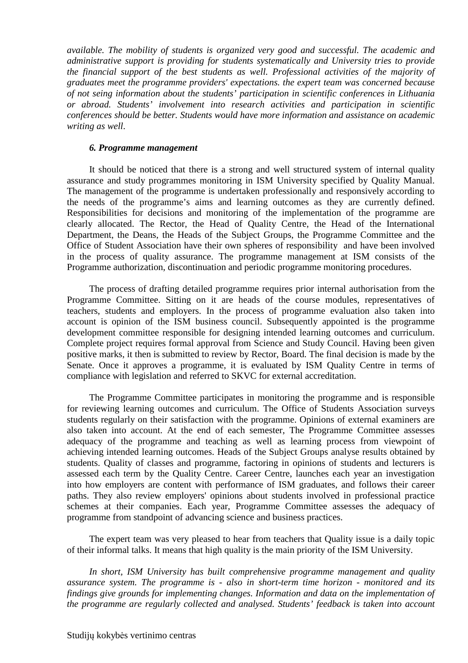*available. The mobility of students is organized very good and successful. The academic and administrative support is providing for students systematically and University tries to provide the financial support of the best students as well. Professional activities of the majority of graduates meet the programme providers' expectations. the expert team was concerned because of not seing information about the students' participation in scientific conferences in Lithuania or abroad. Students' involvement into research activities and participation in scientific conferences should be better. Students would have more information and assistance on academic writing as well*.

#### *6. Programme management*

It should be noticed that there is a strong and well structured system of internal quality assurance and study programmes monitoring in ISM University specified by Quality Manual. The management of the programme is undertaken professionally and responsively according to the needs of the programme's aims and learning outcomes as they are currently defined. Responsibilities for decisions and monitoring of the implementation of the programme are clearly allocated. The Rector, the Head of Quality Centre, the Head of the International Department, the Deans, the Heads of the Subject Groups, the Programme Committee and the Office of Student Association have their own spheres of responsibility and have been involved in the process of quality assurance. The programme management at ISM consists of the Programme authorization, discontinuation and periodic programme monitoring procedures.

The process of drafting detailed programme requires prior internal authorisation from the Programme Committee. Sitting on it are heads of the course modules, representatives of teachers, students and employers. In the process of programme evaluation also taken into account is opinion of the ISM business council. Subsequently appointed is the programme development committee responsible for designing intended learning outcomes and curriculum. Complete project requires formal approval from Science and Study Council. Having been given positive marks, it then is submitted to review by Rector, Board. The final decision is made by the Senate. Once it approves a programme, it is evaluated by ISM Quality Centre in terms of compliance with legislation and referred to SKVC for external accreditation.

The Programme Committee participates in monitoring the programme and is responsible for reviewing learning outcomes and curriculum. The Office of Students Association surveys students regularly on their satisfaction with the programme. Opinions of external examiners are also taken into account. At the end of each semester, The Programme Committee assesses adequacy of the programme and teaching as well as learning process from viewpoint of achieving intended learning outcomes. Heads of the Subject Groups analyse results obtained by students. Quality of classes and programme, factoring in opinions of students and lecturers is assessed each term by the Quality Centre. Career Centre, launches each year an investigation into how employers are content with performance of ISM graduates, and follows their career paths. They also review employers' opinions about students involved in professional practice schemes at their companies. Each year, Programme Committee assesses the adequacy of programme from standpoint of advancing science and business practices.

The expert team was very pleased to hear from teachers that Quality issue is a daily topic of their informal talks. It means that high quality is the main priority of the ISM University.

*In short, ISM University has built comprehensive programme management and quality assurance system. The programme is - also in short-term time horizon - monitored and its findings give grounds for implementing changes. Information and data on the implementation of the programme are regularly collected and analysed. Students' feedback is taken into account*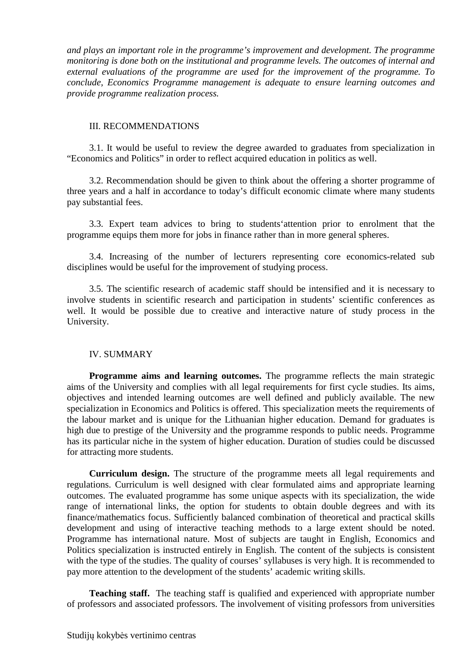*and plays an important role in the programme's improvement and development. The programme monitoring is done both on the institutional and programme levels. The outcomes of internal and external evaluations of the programme are used for the improvement of the programme. To conclude, Economics Programme management is adequate to ensure learning outcomes and provide programme realization process.* 

#### III. RECOMMENDATIONS

3.1. It would be useful to review the degree awarded to graduates from specialization in "Economics and Politics" in order to reflect acquired education in politics as well.

3.2. Recommendation should be given to think about the offering a shorter programme of three years and a half in accordance to today's difficult economic climate where many students pay substantial fees.

3.3. Expert team advices to bring to students'attention prior to enrolment that the programme equips them more for jobs in finance rather than in more general spheres.

3.4. Increasing of the number of lecturers representing core economics-related sub disciplines would be useful for the improvement of studying process.

3.5. The scientific research of academic staff should be intensified and it is necessary to involve students in scientific research and participation in students' scientific conferences as well. It would be possible due to creative and interactive nature of study process in the University.

#### IV. SUMMARY

**Programme aims and learning outcomes.** The programme reflects the main strategic aims of the University and complies with all legal requirements for first cycle studies. Its aims, objectives and intended learning outcomes are well defined and publicly available. The new specialization in Economics and Politics is offered. This specialization meets the requirements of the labour market and is unique for the Lithuanian higher education. Demand for graduates is high due to prestige of the University and the programme responds to public needs. Programme has its particular niche in the system of higher education. Duration of studies could be discussed for attracting more students.

**Curriculum design.** The structure of the programme meets all legal requirements and regulations. Curriculum is well designed with clear formulated aims and appropriate learning outcomes. The evaluated programme has some unique aspects with its specialization, the wide range of international links, the option for students to obtain double degrees and with its finance/mathematics focus. Sufficiently balanced combination of theoretical and practical skills development and using of interactive teaching methods to a large extent should be noted. Programme has international nature. Most of subjects are taught in English, Economics and Politics specialization is instructed entirely in English. The content of the subjects is consistent with the type of the studies. The quality of courses' syllabuses is very high. It is recommended to pay more attention to the development of the students' academic writing skills.

**Teaching staff.** The teaching staff is qualified and experienced with appropriate number of professors and associated professors. The involvement of visiting professors from universities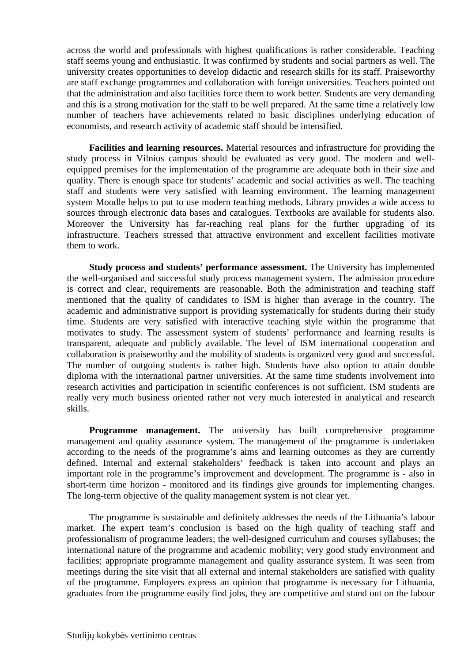across the world and professionals with highest qualifications is rather considerable. Teaching staff seems young and enthusiastic. It was confirmed by students and social partners as well. The university creates opportunities to develop didactic and research skills for its staff. Praiseworthy are staff exchange programmes and collaboration with foreign universities. Teachers pointed out that the administration and also facilities force them to work better. Students are very demanding and this is a strong motivation for the staff to be well prepared. At the same time a relatively low number of teachers have achievements related to basic disciplines underlying education of economists, and research activity of academic staff should be intensified.

**Facilities and learning resources.** Material resources and infrastructure for providing the study process in Vilnius campus should be evaluated as very good. The modern and wellequipped premises for the implementation of the programme are adequate both in their size and quality. There is enough space for students' academic and social activities as well. The teaching staff and students were very satisfied with learning environment. The learning management system Moodle helps to put to use modern teaching methods. Library provides a wide access to sources through electronic data bases and catalogues. Textbooks are available for students also. Moreover the University has far-reaching real plans for the further upgrading of its infrastructure. Teachers stressed that attractive environment and excellent facilities motivate them to work.

**Study process and students' performance assessment.** The University has implemented the well-organised and successful study process management system. The admission procedure is correct and clear, requirements are reasonable. Both the administration and teaching staff mentioned that the quality of candidates to ISM is higher than average in the country. The academic and administrative support is providing systematically for students during their study time. Students are very satisfied with interactive teaching style within the programme that motivates to study. The assessment system of students' performance and learning results is transparent, adequate and publicly available. The level of ISM international cooperation and collaboration is praiseworthy and the mobility of students is organized very good and successful. The number of outgoing students is rather high. Students have also option to attain double diploma with the international partner universities. At the same time students involvement into research activities and participation in scientific conferences is not sufficient. ISM students are really very much business oriented rather not very much interested in analytical and research skills.

**Programme management.** The university has built comprehensive programme management and quality assurance system. The management of the programme is undertaken according to the needs of the programme's aims and learning outcomes as they are currently defined. Internal and external stakeholders' feedback is taken into account and plays an important role in the programme's improvement and development. The programme is - also in short-term time horizon - monitored and its findings give grounds for implementing changes. The long-term objective of the quality management system is not clear yet.

The programme is sustainable and definitely addresses the needs of the Lithuania's labour market. The expert team's conclusion is based on the high quality of teaching staff and professionalism of programme leaders; the well-designed curriculum and courses syllabuses; the international nature of the programme and academic mobility; very good study environment and facilities; appropriate programme management and quality assurance system. It was seen from meetings during the site visit that all external and internal stakeholders are satisfied with quality of the programme. Employers express an opinion that programme is necessary for Lithuania, graduates from the programme easily find jobs, they are competitive and stand out on the labour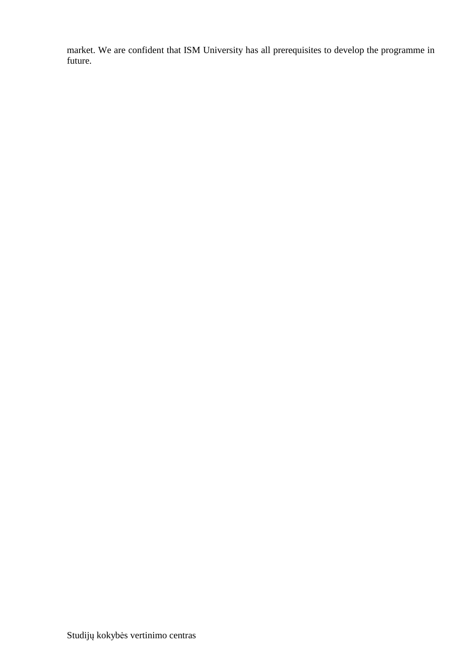market. We are confident that ISM University has all prerequisites to develop the programme in future.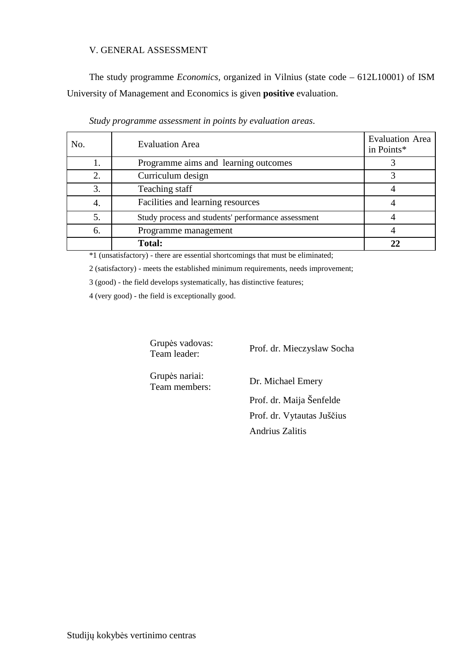#### V. GENERAL ASSESSMENT

The study programme *Economics,* organized in Vilnius (state code – 612L10001) of ISM University of Management and Economics is given **positive** evaluation.

| No. | <b>Evaluation Area</b>                             | <b>Evaluation Area</b><br>in Points* |
|-----|----------------------------------------------------|--------------------------------------|
|     | Programme aims and learning outcomes               |                                      |
|     | Curriculum design                                  |                                      |
| 3.  | Teaching staff                                     |                                      |
| 4.  | Facilities and learning resources                  |                                      |
|     | Study process and students' performance assessment |                                      |
| 6.  | Programme management                               |                                      |
|     | <b>Total:</b>                                      |                                      |

|  | Study programme assessment in points by evaluation areas. |
|--|-----------------------------------------------------------|
|  |                                                           |

\*1 (unsatisfactory) - there are essential shortcomings that must be eliminated;

2 (satisfactory) - meets the established minimum requirements, needs improvement;

3 (good) - the field develops systematically, has distinctive features;

4 (very good) - the field is exceptionally good.

Grupės vadovas:

Team leader: Prof. dr. Mieczyslaw Socha

Grupės nariai:

Team members: Dr. Michael Emery

 Prof. dr. Maija Šenfelde Prof. dr. Vytautas Juščius Andrius Zalitis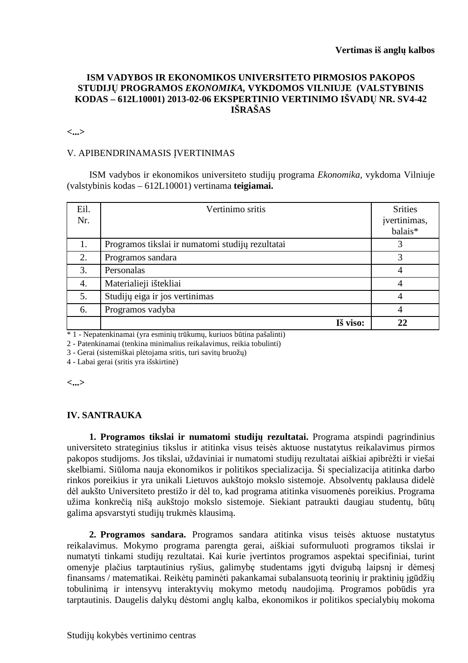### **ISM VADYBOS IR EKONOMIKOS UNIVERSITETO PIRMOSIOS PAKOPOS STUDIJŲ PROGRAMOS** *EKONOMIKA,* **VYKDOMOS VILNIUJE****(VALSTYBINIS KODAS – 612L10001) 2013-02-06 EKSPERTINIO VERTINIMO IŠVADŲ NR. SV4-42 IŠRAŠAS**

**<...>** 

#### V. APIBENDRINAMASIS ĮVERTINIMAS

ISM vadybos ir ekonomikos universiteto studijų programa *Ekonomika,* vykdoma Vilniuje (valstybinis kodas – 612L10001) vertinama **teigiamai.**

| Eil.<br>Nr. | Vertinimo sritis                                 | <b>Srities</b><br>jvertinimas,<br>balais* |
|-------------|--------------------------------------------------|-------------------------------------------|
| 1.          | Programos tikslai ir numatomi studijų rezultatai |                                           |
| 2.          | Programos sandara                                |                                           |
| 3.          | Personalas                                       |                                           |
| 4.          | Materialieji ištekliai                           |                                           |
| 5.          | Studijų eiga ir jos vertinimas                   | 4                                         |
| 6.          | Programos vadyba                                 | 4                                         |
|             | Iš viso:                                         | າາ                                        |

\* 1 - Nepatenkinamai (yra esminių trūkumų, kuriuos būtina pašalinti)

2 - Patenkinamai (tenkina minimalius reikalavimus, reikia tobulinti)

3 - Gerai (sistemiškai plėtojama sritis, turi savitų bruožų)

4 - Labai gerai (sritis yra išskirtinė)

**<...>** 

#### **IV. SANTRAUKA**

**1. Programos tikslai ir numatomi studijų rezultatai.** Programa atspindi pagrindinius universiteto strateginius tikslus ir atitinka visus teisės aktuose nustatytus reikalavimus pirmos pakopos studijoms. Jos tikslai, uždaviniai ir numatomi studijų rezultatai aiškiai apibrėžti ir viešai skelbiami. Siūloma nauja ekonomikos ir politikos specializacija. Ši specializacija atitinka darbo rinkos poreikius ir yra unikali Lietuvos aukštojo mokslo sistemoje. Absolventų paklausa didelė dėl aukšto Universiteto prestižo ir dėl to, kad programa atitinka visuomenės poreikius. Programa užima konkrečią nišą aukštojo mokslo sistemoje. Siekiant patraukti daugiau studentų, būtų galima apsvarstyti studijų trukmės klausimą.

**2. Programos sandara.** Programos sandara atitinka visus teisės aktuose nustatytus reikalavimus. Mokymo programa parengta gerai, aiškiai suformuluoti programos tikslai ir numatyti tinkami studijų rezultatai. Kai kurie įvertintos programos aspektai specifiniai, turint omenyje plačius tarptautinius ryšius, galimybę studentams įgyti dvigubą laipsnį ir dėmesį finansams / matematikai. Reikėtų paminėti pakankamai subalansuotą teorinių ir praktinių įgūdžių tobulinimą ir intensyvų interaktyvių mokymo metodų naudojimą. Programos pobūdis yra tarptautinis. Daugelis dalykų dėstomi anglų kalba, ekonomikos ir politikos specialybių mokoma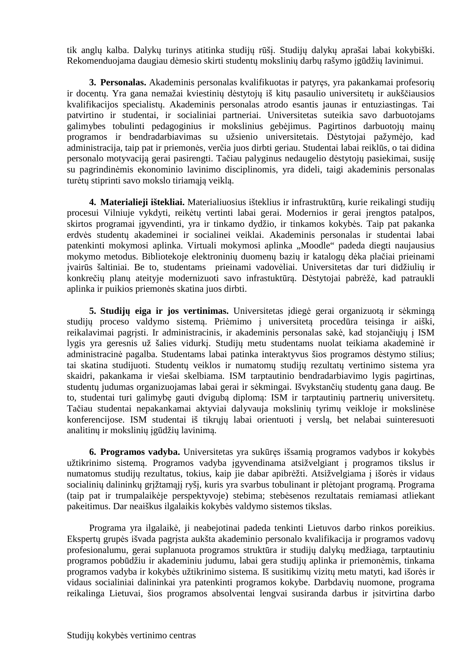tik anglų kalba. Dalykų turinys atitinka studijų rūšį. Studijų dalykų aprašai labai kokybiški. Rekomenduojama daugiau dėmesio skirti studentų mokslinių darbų rašymo įgūdžių lavinimui.

**3. Personalas.** Akademinis personalas kvalifikuotas ir patyręs, yra pakankamai profesorių ir docentų. Yra gana nemažai kviestinių dėstytojų iš kitų pasaulio universitetų ir aukščiausios kvalifikacijos specialistų. Akademinis personalas atrodo esantis jaunas ir entuziastingas. Tai patvirtino ir studentai, ir socialiniai partneriai. Universitetas suteikia savo darbuotojams galimybes tobulinti pedagoginius ir mokslinius gebėjimus. Pagirtinos darbuotojų mainų programos ir bendradarbiavimas su užsienio universitetais. Dėstytojai pažymėjo, kad administracija, taip pat ir priemonės, verčia juos dirbti geriau. Studentai labai reiklūs, o tai didina personalo motyvaciją gerai pasirengti. Tačiau palyginus nedaugelio dėstytojų pasiekimai, susiję su pagrindinėmis ekonominio lavinimo disciplinomis, yra dideli, taigi akademinis personalas turėtų stiprinti savo mokslo tiriamąją veiklą.

**4. Materialieji ištekliai.** Materialiuosius išteklius ir infrastruktūrą, kurie reikalingi studijų procesui Vilniuje vykdyti, reikėtų vertinti labai gerai. Modernios ir gerai įrengtos patalpos, skirtos programai įgyvendinti, yra ir tinkamo dydžio, ir tinkamos kokybės. Taip pat pakanka erdvės studentų akademinei ir socialinei veiklai. Akademinis personalas ir studentai labai patenkinti mokymosi aplinka. Virtuali mokymosi aplinka "Moodle" padeda diegti naujausius mokymo metodus. Bibliotekoje elektroninių duomenų bazių ir katalogų dėka plačiai prieinami įvairūs šaltiniai. Be to, studentams prieinami vadovėliai. Universitetas dar turi didžiulių ir konkrečių planų ateityje modernizuoti savo infrastuktūrą. Dėstytojai pabrėžė, kad patraukli aplinka ir puikios priemonės skatina juos dirbti.

**5. Studijų eiga ir jos vertinimas.** Universitetas įdiegė gerai organizuotą ir sėkmingą studijų proceso valdymo sistemą. Priėmimo į universitetą procedūra teisinga ir aiški, reikalavimai pagrįsti. Ir administracinis, ir akademinis personalas sakė, kad stojančiųjų į ISM lygis yra geresnis už šalies vidurkį. Studijų metu studentams nuolat teikiama akademinė ir administracinė pagalba. Studentams labai patinka interaktyvus šios programos dėstymo stilius; tai skatina studijuoti. Studentų veiklos ir numatomų studijų rezultatų vertinimo sistema yra skaidri, pakankama ir viešai skelbiama. ISM tarptautinio bendradarbiavimo lygis pagirtinas, studentų judumas organizuojamas labai gerai ir sėkmingai. Išvykstančių studentų gana daug. Be to, studentai turi galimybę gauti dvigubą diplomą: ISM ir tarptautinių partnerių universitetų. Tačiau studentai nepakankamai aktyviai dalyvauja mokslinių tyrimų veikloje ir mokslinėse konferencijose. ISM studentai iš tikrųjų labai orientuoti į verslą, bet nelabai suinteresuoti analitinų ir mokslinių įgūdžių lavinimą.

**6. Programos vadyba.** Universitetas yra sukūręs išsamią programos vadybos ir kokybės užtikrinimo sistemą. Programos vadyba įgyvendinama atsižvelgiant į programos tikslus ir numatomus studijų rezultatus, tokius, kaip jie dabar apibrėžti. Atsižvelgiama į išorės ir vidaus socialinių dalininkų grįžtamąjį ryšį, kuris yra svarbus tobulinant ir plėtojant programą. Programa (taip pat ir trumpalaikėje perspektyvoje) stebima; stebėsenos rezultatais remiamasi atliekant pakeitimus. Dar neaiškus ilgalaikis kokybės valdymo sistemos tikslas.

Programa yra ilgalaikė, ji neabejotinai padeda tenkinti Lietuvos darbo rinkos poreikius. Ekspertų grupės išvada pagrįsta aukšta akademinio personalo kvalifikacija ir programos vadovų profesionalumu, gerai suplanuota programos struktūra ir studijų dalykų medžiaga, tarptautiniu programos pobūdžiu ir akademiniu judumu, labai gera studijų aplinka ir priemonėmis, tinkama programos vadyba ir kokybės užtikrinimo sistema. Iš susitikimų vizitų metu matyti, kad išorės ir vidaus socialiniai dalininkai yra patenkinti programos kokybe. Darbdavių nuomone, programa reikalinga Lietuvai, šios programos absolventai lengvai susiranda darbus ir įsitvirtina darbo